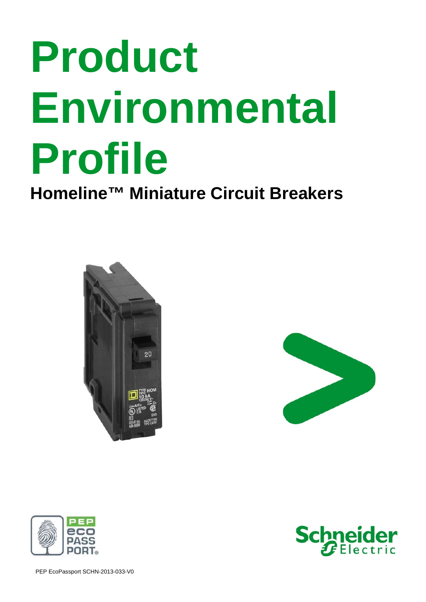# **Product Environmental Profile**

**Homeline™ Miniature Circuit Breakers** 







PEP EcoPassport SCHN-2013-033-V0

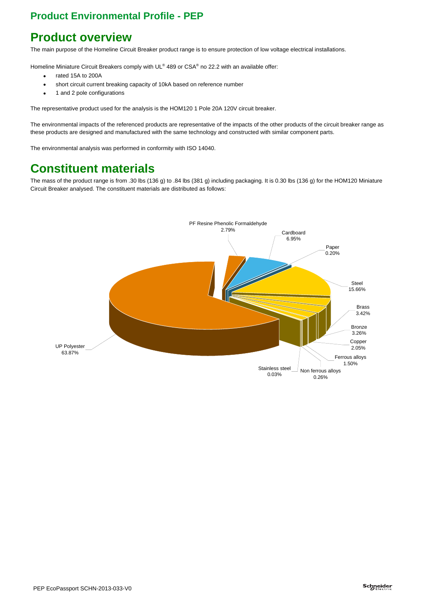#### **Product Environmental Profile - PEP**

#### **Product overview**

The main purpose of the Homeline Circuit Breaker product range is to ensure protection of low voltage electrical installations.

Homeline Miniature Circuit Breakers comply with UL® 489 or CSA® no 22.2 with an available offer:

- rated 15A to 200A
- short circuit current breaking capacity of 10kA based on reference number
- 1 and 2 pole configurations

The representative product used for the analysis is the HOM120 1 Pole 20A 120V circuit breaker.

The environmental impacts of the referenced products are representative of the impacts of the other products of the circuit breaker range as these products are designed and manufactured with the same technology and constructed with similar component parts.

The environmental analysis was performed in conformity with ISO 14040.

#### **Constituent materials**

The mass of the product range is from .30 lbs (136 g) to .84 lbs (381 g) including packaging. It is 0.30 lbs (136 g) for the HOM120 Miniature Circuit Breaker analysed. The constituent materials are distributed as follows:

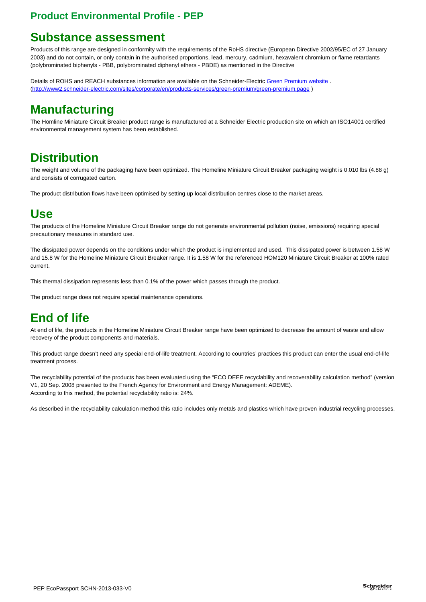#### **Product Environmental Profile - PEP**

#### **Substance assessment**

Products of this range are designed in conformity with the requirements of the RoHS directive (European Directive 2002/95/EC of 27 January 2003) and do not contain, or only contain in the authorised proportions, lead, mercury, cadmium, hexavalent chromium or flame retardants (polybrominated biphenyls - PBB, polybrominated diphenyl ethers - PBDE) as mentioned in the Directive

Details of ROHS and REACH substances information are available on the Schneider-Electric Green Premium website . (http://www2.schneider-electric.com/sites/corporate/en/products-services/green-premium/green-premium.page )

### **Manufacturing**

The Homline Miniature Circuit Breaker product range is manufactured at a Schneider Electric production site on which an ISO14001 certified environmental management system has been established.

#### **Distribution**

The weight and volume of the packaging have been optimized. The Homeline Miniature Circuit Breaker packaging weight is 0.010 lbs (4.88 g) and consists of corrugated carton.

The product distribution flows have been optimised by setting up local distribution centres close to the market areas.

### **Use**

The products of the Homeline Miniature Circuit Breaker range do not generate environmental pollution (noise, emissions) requiring special precautionary measures in standard use.

The dissipated power depends on the conditions under which the product is implemented and used. This dissipated power is between 1.58 W and 15.8 W for the Homeline Miniature Circuit Breaker range. It is 1.58 W for the referenced HOM120 Miniature Circuit Breaker at 100% rated current.

This thermal dissipation represents less than 0.1% of the power which passes through the product.

The product range does not require special maintenance operations.

## **End of life**

At end of life, the products in the Homeline Miniature Circuit Breaker range have been optimized to decrease the amount of waste and allow recovery of the product components and materials.

This product range doesn't need any special end-of-life treatment. According to countries' practices this product can enter the usual end-of-life treatment process.

The recyclability potential of the products has been evaluated using the "ECO DEEE recyclability and recoverability calculation method" (version V1, 20 Sep. 2008 presented to the French Agency for Environment and Energy Management: ADEME). According to this method, the potential recyclability ratio is: 24%.

As described in the recyclability calculation method this ratio includes only metals and plastics which have proven industrial recycling processes.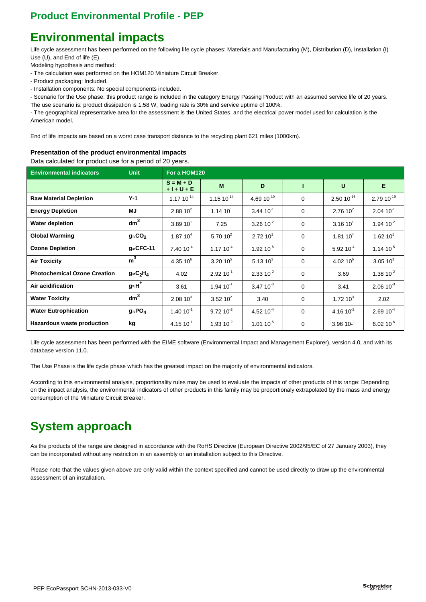#### **Environmental impacts**

Life cycle assessment has been performed on the following life cycle phases: Materials and Manufacturing (M), Distribution (D), Installation (I) Use (U), and End of life (E).

Modeling hypothesis and method:

- The calculation was performed on the HOM120 Miniature Circuit Breaker.
- Product packaging: Included.
- Installation components: No special components included.
- Scenario for the Use phase: this product range is included in the category Energy Passing Product with an assumed service life of 20 years.
- The use scenario is: product dissipation is 1.58 W, loading rate is 30% and service uptime of 100%.

- The geographical representative area for the assessment is the United States, and the electrical power model used for calculation is the American model.

End of life impacts are based on a worst case transport distance to the recycling plant 621 miles (1000km).

#### **Presentation of the product environmental impacts**

#### Data calculated for product use for a period of 20 years.

| <b>Environmental indicators</b>     | <b>Unit</b>             | For a HOM120            |                      |                     |             |                      |                 |  |  |
|-------------------------------------|-------------------------|-------------------------|----------------------|---------------------|-------------|----------------------|-----------------|--|--|
|                                     |                         | $S = M + D$<br>$+1+U+E$ | M                    | D                   | т           | U                    | E.              |  |  |
| <b>Raw Material Depletion</b>       | $Y-1$                   | $1.17 10^{-14}$         | $1.15 10^{-14}$      | 4.69 $10^{-19}$     | $\Omega$    | $2.50 10^{-16}$      | $2.79 10^{-19}$ |  |  |
| <b>Energy Depletion</b>             | MJ                      | 2.88 $10^2$             | 1.14 10 <sup>1</sup> | $3.44~10^{-1}$      | 0           | $2.7610^2$           | $2.04 10^{-1}$  |  |  |
| <b>Water depletion</b>              | dm <sup>3</sup>         | 3.89 10 <sup>1</sup>    | 7.25                 | $3.26 10^{-2}$      | $\mathbf 0$ | $3.16 10^{1}$        | $1.94 10^{-2}$  |  |  |
| <b>Global Warming</b>               | $g \approx CO_2$        | $1.8710^{4}$            | $5.7010^{2}$         | 2.7210 <sup>1</sup> | $\mathbf 0$ | $1.8110^{4}$         | $1.62 10^{1}$   |  |  |
| <b>Ozone Depletion</b>              | $g \approx CFC-11$      | $7.40 10^{-4}$          | $1.17 10^{-4}$       | $1.9210^{-5}$       | 0           | $5.92 10^{-4}$       | $1.1410^{-5}$   |  |  |
| <b>Air Toxicity</b>                 | m <sup>3</sup>          | 4.35 $10^6$             | $3.20 10^5$          | $5.1310^{3}$        | $\mathbf 0$ | $4.0210^6$           | $3.05 10^3$     |  |  |
| <b>Photochemical Ozone Creation</b> | $g_{\approx}C_{2}H_{4}$ | 4.02                    | $2.92 10^{-1}$       | $2.3310^{2}$        | $\Omega$    | 3.69                 | $1.38 10^{-2}$  |  |  |
| Air acidification                   | $g_{\approx}H^+$        | 3.61                    | $1.94 10^{-1}$       | $3.47 10^{-3}$      | $\mathbf 0$ | 3.41                 | $2.06 10^{-3}$  |  |  |
| <b>Water Toxicity</b>               | dm <sup>3</sup>         | $2.0810^{3}$            | $3.52~10^{2}$        | 3.40                | $\mathbf 0$ | 1.72 10 <sup>3</sup> | 2.02            |  |  |
| <b>Water Eutrophication</b>         | $q \approx PO_4$        | $1.40 10^{-1}$          | $9.72 10^{-2}$       | 4.52 $10^{-4}$      | $\mathbf 0$ | 4.16 $10^{-2}$       | $2.69 10^{-4}$  |  |  |
| Hazardous waste production          | kg                      | 4.15 $10^{-1}$          | $1.93 10^{-2}$       | $1.0110^{-5}$       | $\mathbf 0$ | $3.96 10^{-1}$       | $6.02 10^{-6}$  |  |  |

Life cycle assessment has been performed with the EIME software (Environmental Impact and Management Explorer), version 4.0, and with its database version 11.0.

The Use Phase is the life cycle phase which has the greatest impact on the majority of environmental indicators.

According to this environmental analysis, proportionality rules may be used to evaluate the impacts of other products of this range: Depending on the impact analysis, the environmental indicators of other products in this family may be proportionaly extrapolated by the mass and energy consumption of the Miniature Circuit Breaker.

## **System approach**

As the products of the range are designed in accordance with the RoHS Directive (European Directive 2002/95/EC of 27 January 2003), they can be incorporated without any restriction in an assembly or an installation subject to this Directive.

Please note that the values given above are only valid within the context specified and cannot be used directly to draw up the environmental assessment of an installation.